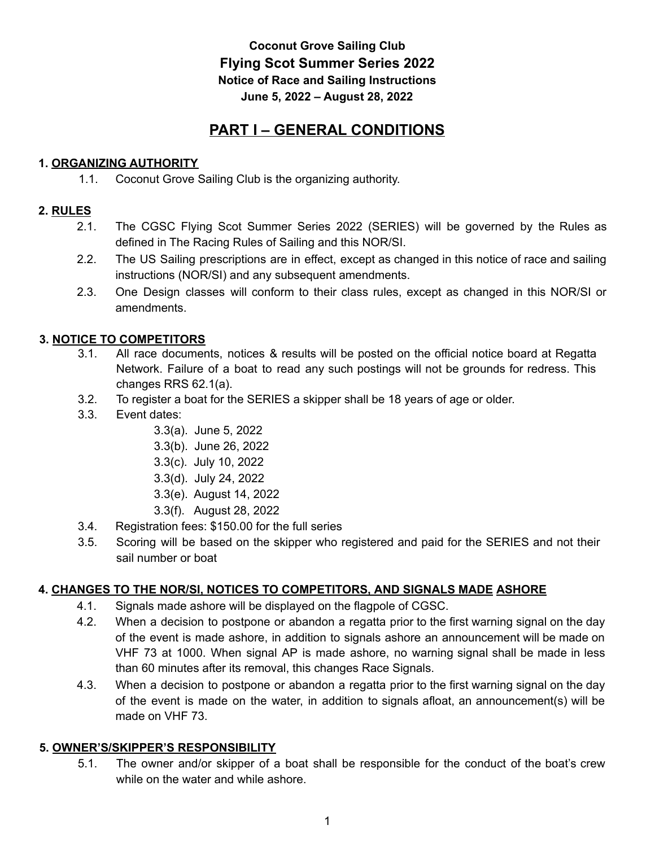# **Coconut Grove Sailing Club Flying Scot Summer Series 2022 Notice of Race and Sailing Instructions June 5, 2022 – August 28, 2022**

# **PART I – GENERAL CONDITIONS**

# **1. ORGANIZING AUTHORITY**

1.1. Coconut Grove Sailing Club is the organizing authority.

# **2. RULES**

- 2.1. The CGSC Flying Scot Summer Series 2022 (SERIES) will be governed by the Rules as defined in The Racing Rules of Sailing and this NOR/SI.
- 2.2. The US Sailing prescriptions are in effect, except as changed in this notice of race and sailing instructions (NOR/SI) and any subsequent amendments.
- 2.3. One Design classes will conform to their class rules, except as changed in this NOR/SI or amendments.

# **3. NOTICE TO COMPETITORS**

- 3.1. All race documents, notices & results will be posted on the official notice board at Regatta Network. Failure of a boat to read any such postings will not be grounds for redress. This changes RRS 62.1(a).
- 3.2. To register a boat for the SERIES a skipper shall be 18 years of age or older.
- 3.3. Event dates:
	- 3.3(a). June 5, 2022
	- 3.3(b). June 26, 2022
	- 3.3(c). July 10, 2022
	- 3.3(d). July 24, 2022
	- 3.3(e). August 14, 2022
	- 3.3(f). August 28, 2022
- 3.4. Registration fees: \$150.00 for the full series
- 3.5. Scoring will be based on the skipper who registered and paid for the SERIES and not their sail number or boat

# **4. CHANGES TO THE NOR/SI, NOTICES TO COMPETITORS, AND SIGNALS MADE ASHORE**

- 4.1. Signals made ashore will be displayed on the flagpole of CGSC.
- 4.2. When a decision to postpone or abandon a regatta prior to the first warning signal on the day of the event is made ashore, in addition to signals ashore an announcement will be made on VHF 73 at 1000. When signal AP is made ashore, no warning signal shall be made in less than 60 minutes after its removal, this changes Race Signals.
- 4.3. When a decision to postpone or abandon a regatta prior to the first warning signal on the day of the event is made on the water, in addition to signals afloat, an announcement(s) will be made on VHF 73.

# **5. OWNER'S/SKIPPER'S RESPONSIBILITY**

5.1. The owner and/or skipper of a boat shall be responsible for the conduct of the boat's crew while on the water and while ashore.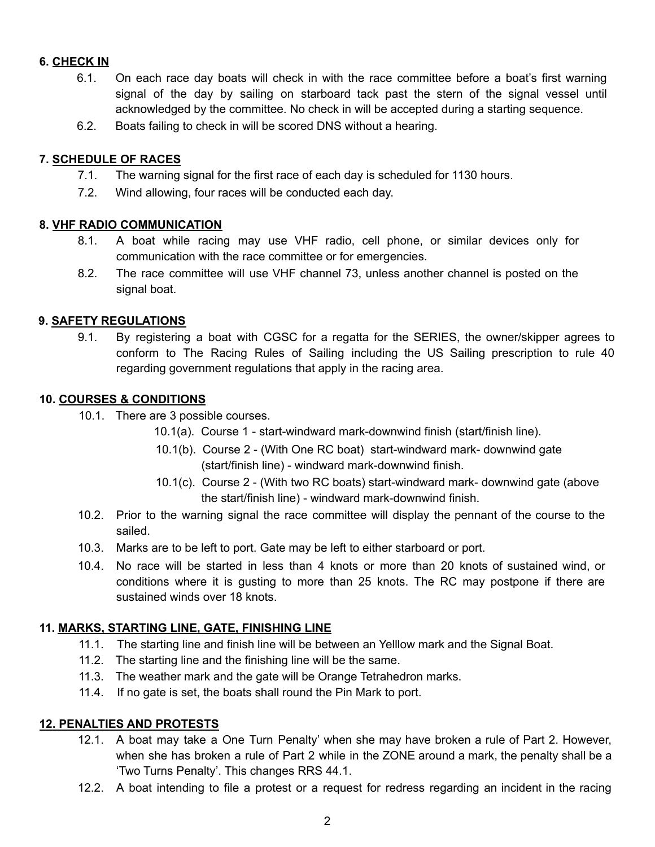# **6. CHECK IN**

- 6.1. On each race day boats will check in with the race committee before a boat's first warning signal of the day by sailing on starboard tack past the stern of the signal vessel until acknowledged by the committee. No check in will be accepted during a starting sequence.
- 6.2. Boats failing to check in will be scored DNS without a hearing.

## **7. SCHEDULE OF RACES**

- 7.1. The warning signal for the first race of each day is scheduled for 1130 hours.
- 7.2. Wind allowing, four races will be conducted each day.

## **8. VHF RADIO COMMUNICATION**

- 8.1. A boat while racing may use VHF radio, cell phone, or similar devices only for communication with the race committee or for emergencies.
- 8.2. The race committee will use VHF channel 73, unless another channel is posted on the signal boat.

## **9. SAFETY REGULATIONS**

9.1. By registering a boat with CGSC for a regatta for the SERIES, the owner/skipper agrees to conform to The Racing Rules of Sailing including the US Sailing prescription to rule 40 regarding government regulations that apply in the racing area.

## **10. COURSES & CONDITIONS**

- 10.1. There are 3 possible courses.
	- 10.1(a). Course 1 start-windward mark-downwind finish (start/finish line).
	- 10.1(b). Course 2 (With One RC boat) start-windward mark- downwind gate (start/finish line) - windward mark-downwind finish.
	- 10.1(c). Course 2 (With two RC boats) start-windward mark- downwind gate (above the start/finish line) - windward mark-downwind finish.
- 10.2. Prior to the warning signal the race committee will display the pennant of the course to the sailed.
- 10.3. Marks are to be left to port. Gate may be left to either starboard or port.
- 10.4. No race will be started in less than 4 knots or more than 20 knots of sustained wind, or conditions where it is gusting to more than 25 knots. The RC may postpone if there are sustained winds over 18 knots.

# **11. MARKS, STARTING LINE, GATE, FINISHING LINE**

- 11.1. The starting line and finish line will be between an Yelllow mark and the Signal Boat.
- 11.2. The starting line and the finishing line will be the same.
- 11.3. The weather mark and the gate will be Orange Tetrahedron marks.
- 11.4. If no gate is set, the boats shall round the Pin Mark to port.

#### **12. PENALTIES AND PROTESTS**

- 12.1. A boat may take a One Turn Penalty' when she may have broken a rule of Part 2. However, when she has broken a rule of Part 2 while in the ZONE around a mark, the penalty shall be a 'Two Turns Penalty'. This changes RRS 44.1.
- 12.2. A boat intending to file a protest or a request for redress regarding an incident in the racing